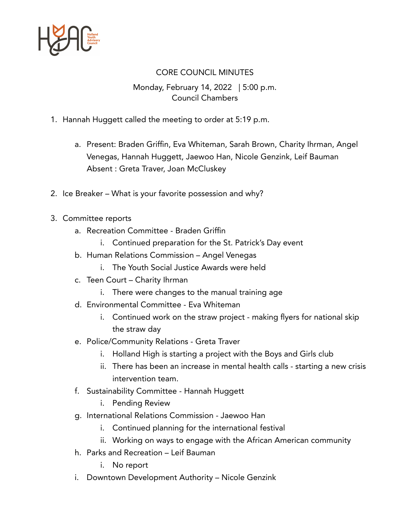

## CORE COUNCIL MINUTES

## Monday, February 14, 2022 | 5:00 p.m. Council Chambers

- 1. Hannah Huggett called the meeting to order at 5:19 p.m.
	- a. Present: Braden Griffin, Eva Whiteman, Sarah Brown, Charity Ihrman, Angel Venegas, Hannah Huggett, Jaewoo Han, Nicole Genzink, Leif Bauman Absent : Greta Traver, Joan McCluskey
- 2. Ice Breaker What is your favorite possession and why?
- 3. Committee reports
	- a. Recreation Committee Braden Griffin
		- i. Continued preparation for the St. Patrick's Day event
	- b. Human Relations Commission Angel Venegas
		- i. The Youth Social Justice Awards were held
	- c. Teen Court Charity Ihrman
		- i. There were changes to the manual training age
	- d. Environmental Committee Eva Whiteman
		- i. Continued work on the straw project making flyers for national skip the straw day
	- e. Police/Community Relations Greta Traver
		- i. Holland High is starting a project with the Boys and Girls club
		- ii. There has been an increase in mental health calls starting a new crisis intervention team.
	- f. Sustainability Committee Hannah Huggett
		- i. Pending Review
	- g. International Relations Commission Jaewoo Han
		- i. Continued planning for the international festival
		- ii. Working on ways to engage with the African American community
	- h. Parks and Recreation Leif Bauman
		- i. No report
	- i. Downtown Development Authority Nicole Genzink